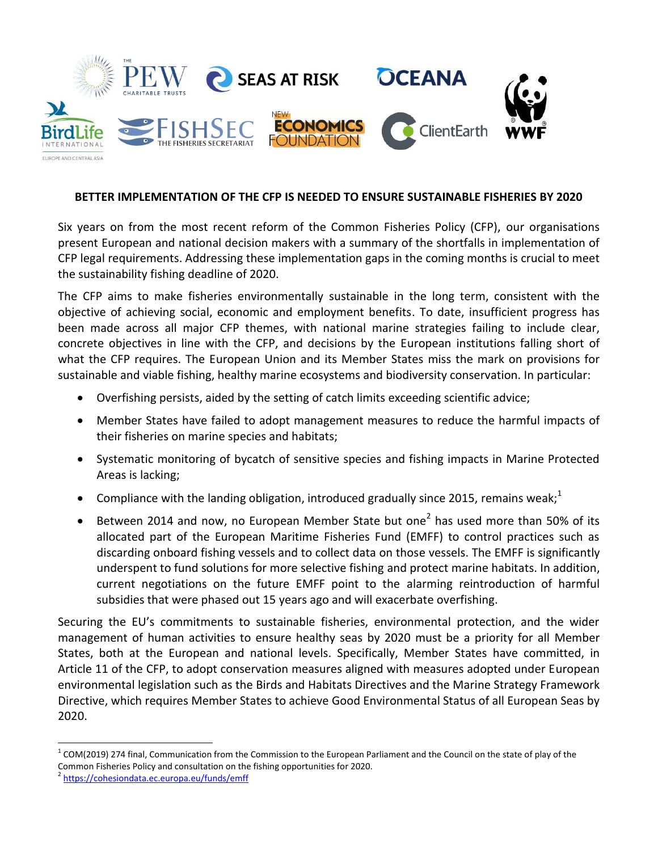

## **BETTER IMPLEMENTATION OF THE CFP IS NEEDED TO ENSURE SUSTAINABLE FISHERIES BY 2020**

Six years on from the most recent reform of the Common Fisheries Policy (CFP), our organisations present European and national decision makers with a summary of the shortfalls in implementation of CFP legal requirements. Addressing these implementation gaps in the coming months is crucial to meet the sustainability fishing deadline of 2020.

The CFP aims to make fisheries environmentally sustainable in the long term, consistent with the objective of achieving social, economic and employment benefits. To date, insufficient progress has been made across all major CFP themes, with national marine strategies failing to include clear, concrete objectives in line with the CFP, and decisions by the European institutions falling short of what the CFP requires. The European Union and its Member States miss the mark on provisions for sustainable and viable fishing, healthy marine ecosystems and biodiversity conservation. In particular:

- Overfishing persists, aided by the setting of catch limits exceeding scientific advice;
- Member States have failed to adopt management measures to reduce the harmful impacts of their fisheries on marine species and habitats;
- Systematic monitoring of bycatch of sensitive species and fishing impacts in Marine Protected Areas is lacking;
- **Compliance with the landing obligation, introduced gradually since 2015, remains weak;**<sup>1</sup>
- Between 2014 and now, no European Member State but one<sup>2</sup> has used more than 50% of its allocated part of the European Maritime Fisheries Fund (EMFF) to control practices such as discarding onboard fishing vessels and to collect data on those vessels. The EMFF is significantly underspent to fund solutions for more selective fishing and protect marine habitats. In addition, current negotiations on the future EMFF point to the alarming reintroduction of harmful subsidies that were phased out 15 years ago and will exacerbate overfishing.

Securing the EU's commitments to sustainable fisheries, environmental protection, and the wider management of human activities to ensure healthy seas by 2020 must be a priority for all Member States, both at the European and national levels. Specifically, Member States have committed, in Article 11 of the CFP, to adopt conservation measures aligned with measures adopted under European environmental legislation such as the Birds and Habitats Directives and the Marine Strategy Framework Directive, which requires Member States to achieve Good Environmental Status of all European Seas by 2020.

 $\overline{a}$ 

 $1$  COM(2019) 274 final, Communication from the Commission to the European Parliament and the Council on the state of play of the Common Fisheries Policy and consultation on the fishing opportunities for 2020.

<sup>2</sup> <https://cohesiondata.ec.europa.eu/funds/emff>